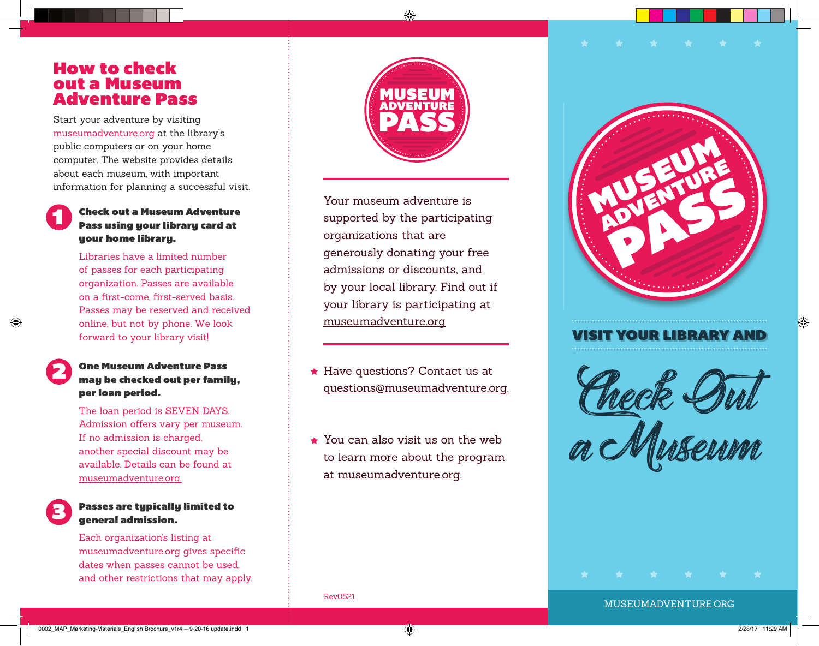### How to check out a Museum Adventure Pass

Start your adventure by visiting museumadventure.org at the library's public computers or on your home computer. The website provides details about each museum, with important information for planning a successful visit.

## Check out a Museum Adventure Pass using your library card at

Libraries have a limited number of passes for each participating organization. Passes are available on a first-come, first-served basis. Passes may be reserved and received online, but not by phone. We look forward to your library visit!



3

1

#### One Museum Adventure Pass may be checked out per family, per loan period.

The loan period is SEVEN DAYS. Admission offers vary per museum. If no admission is charged, another special discount may be available. Details can be found at museumadventure.org.

#### Passes are typically limited to general admission.

Each organization's listing at museumadventure.org gives specific dates when passes cannot be used, and other restrictions that may apply.



Your museum adventure is supported by the participating organizations that are generously donating your free admissions or discounts, and by your local library. Find out if your library is participating at museumadventure.org

- ★ Have questions? Contact us at questions@museumadventure.org.
- You can also visit us on the web to learn more about the program at museumadventure.org.



#### VISIT YOUR LIBRARY AND

Check Out Check Sul<br>a Museum